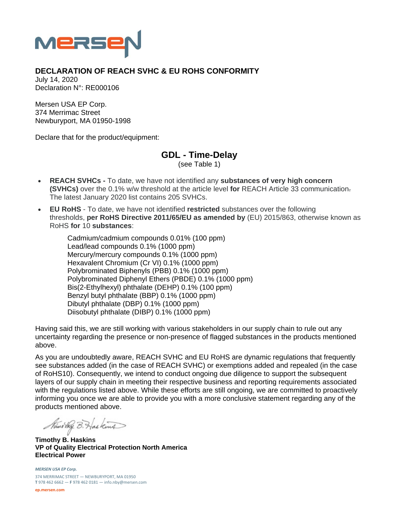

## **DECLARATION OF REACH SVHC & EU ROHS CONFORMITY**

July 14, 2020 Declaration N°: RE000106

Mersen USA EP Corp. 374 Merrimac Street Newburyport, MA 01950-1998

Declare that for the product/equipment:

## **GDL - Time-Delay**

(see Table 1)

- **REACH SVHCs** To date, we have not identified any **substances of very high concern (SVHCs)** over the 0.1% w/w threshold at the article level **for** REACH Article 33 communication. The latest January 2020 list contains 205 SVHCs.
- **EU RoHS** To date, we have not identified **restricted** substances over the following thresholds, **per RoHS Directive 2011/65/EU as amended by** (EU) 2015/863, otherwise known as RoHS **for** 10 **substances**:

Cadmium/cadmium compounds 0.01% (100 ppm) Lead/lead compounds 0.1% (1000 ppm) Mercury/mercury compounds 0.1% (1000 ppm) Hexavalent Chromium (Cr VI) 0.1% (1000 ppm) Polybrominated Biphenyls (PBB) 0.1% (1000 ppm) Polybrominated Diphenyl Ethers (PBDE) 0.1% (1000 ppm) Bis(2-Ethylhexyl) phthalate (DEHP) 0.1% (100 ppm) Benzyl butyl phthalate (BBP) 0.1% (1000 ppm) Dibutyl phthalate (DBP) 0.1% (1000 ppm) Diisobutyl phthalate (DIBP) 0.1% (1000 ppm)

Having said this, we are still working with various stakeholders in our supply chain to rule out any uncertainty regarding the presence or non-presence of flagged substances in the products mentioned above.

As you are undoubtedly aware, REACH SVHC and EU RoHS are dynamic regulations that frequently see substances added (in the case of REACH SVHC) or exemptions added and repealed (in the case of RoHS10). Consequently, we intend to conduct ongoing due diligence to support the subsequent layers of our supply chain in meeting their respective business and reporting requirements associated with the regulations listed above. While these efforts are still ongoing, we are committed to proactively informing you once we are able to provide you with a more conclusive statement regarding any of the products mentioned above.

Nuno they B. Has kind

**Timothy B. Haskins VP of Quality Electrical Protection North America Electrical Power** 

*MERSEN USA EP Corp.* 374 MERRIMAC STREET — NEWBURYPORT, MA 01950 **T** 978 462 6662 — **F** 978 462 0181 — info.nby@mersen.com

**ep.mersen.com**